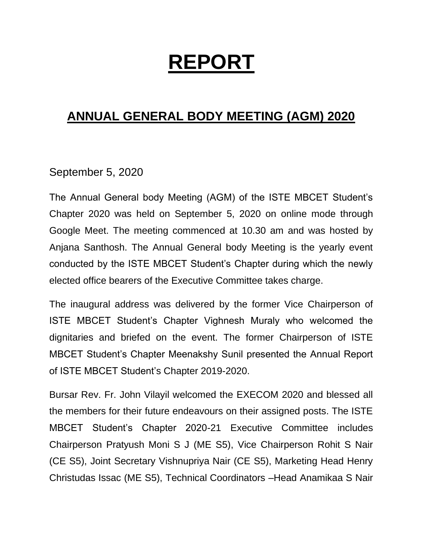## **REPORT**

## **ANNUAL GENERAL BODY MEETING (AGM) 2020**

## September 5, 2020

The Annual General body Meeting (AGM) of the ISTE MBCET Student's Chapter 2020 was held on September 5, 2020 on online mode through Google Meet. The meeting commenced at 10.30 am and was hosted by Anjana Santhosh. The Annual General body Meeting is the yearly event conducted by the ISTE MBCET Student's Chapter during which the newly elected office bearers of the Executive Committee takes charge.

The inaugural address was delivered by the former Vice Chairperson of ISTE MBCET Student's Chapter Vighnesh Muraly who welcomed the dignitaries and briefed on the event. The former Chairperson of ISTE MBCET Student's Chapter Meenakshy Sunil presented the Annual Report of ISTE MBCET Student's Chapter 2019-2020.

Bursar Rev. Fr. John Vilayil welcomed the EXECOM 2020 and blessed all the members for their future endeavours on their assigned posts. The ISTE MBCET Student's Chapter 2020-21 Executive Committee includes Chairperson Pratyush Moni S J (ME S5), Vice Chairperson Rohit S Nair (CE S5), Joint Secretary Vishnupriya Nair (CE S5), Marketing Head Henry Christudas Issac (ME S5), Technical Coordinators –Head Anamikaa S Nair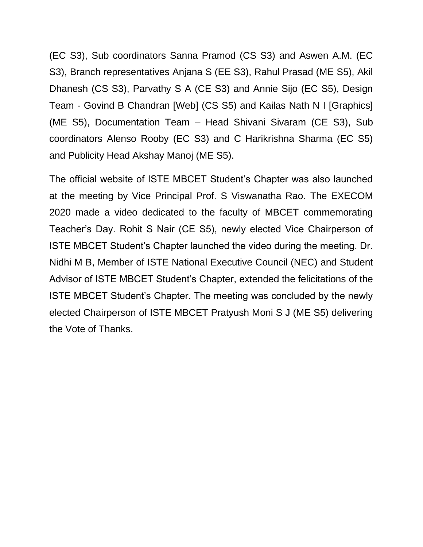(EC S3), Sub coordinators Sanna Pramod (CS S3) and Aswen A.M. (EC S3), Branch representatives Anjana S (EE S3), Rahul Prasad (ME S5), Akil Dhanesh (CS S3), Parvathy S A (CE S3) and Annie Sijo (EC S5), Design Team - Govind B Chandran [Web] (CS S5) and Kailas Nath N I [Graphics] (ME S5), Documentation Team – Head Shivani Sivaram (CE S3), Sub coordinators Alenso Rooby (EC S3) and C Harikrishna Sharma (EC S5) and Publicity Head Akshay Manoj (ME S5).

The official website of ISTE MBCET Student's Chapter was also launched at the meeting by Vice Principal Prof. S Viswanatha Rao. The EXECOM 2020 made a video dedicated to the faculty of MBCET commemorating Teacher's Day. Rohit S Nair (CE S5), newly elected Vice Chairperson of ISTE MBCET Student's Chapter launched the video during the meeting. Dr. Nidhi M B, Member of ISTE National Executive Council (NEC) and Student Advisor of ISTE MBCET Student's Chapter, extended the felicitations of the ISTE MBCET Student's Chapter. The meeting was concluded by the newly elected Chairperson of ISTE MBCET Pratyush Moni S J (ME S5) delivering the Vote of Thanks.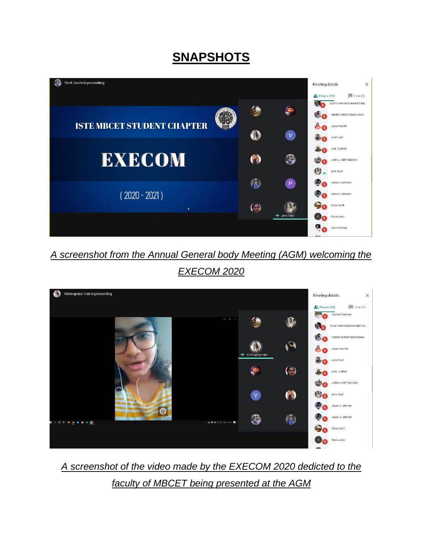## **SNAPSHOTS**



*A screenshot from the Annual General body Meeting (AGM) welcoming the EXECOM 2020*



*A screenshot of the video made by the EXECOM 2020 dedicted to the faculty of MBCET being presented at the AGM*